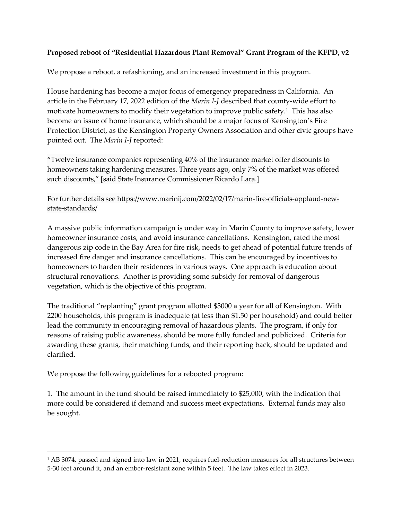## **Proposed reboot of "Residential Hazardous Plant Removal" Grant Program of the KFPD, v2**

We propose a reboot, a refashioning, and an increased investment in this program.

House hardening has become a major focus of emergency preparedness in California. An article in the February 17, 2022 edition of the *Marin I-J* described that county-wide effort to motivate homeowners to modify their vegetation to improve public safety.<sup>1</sup> This has also become an issue of home insurance, which should be a major focus of Kensington's Fire Protection District, as the Kensington Property Owners Association and other civic groups have pointed out. The *Marin I-J* reported:

"Twelve insurance companies representing 40% of the insurance market offer discounts to homeowners taking hardening measures. Three years ago, only 7% of the market was offered such discounts," [said State Insurance Commissioner Ricardo Lara.]

For further details see https://www.marinij.com/2022/02/17/marin-fire-officials-applaud-newstate-standards/

A massive public information campaign is under way in Marin County to improve safety, lower homeowner insurance costs, and avoid insurance cancellations. Kensington, rated the most dangerous zip code in the Bay Area for fire risk, needs to get ahead of potential future trends of increased fire danger and insurance cancellations. This can be encouraged by incentives to homeowners to harden their residences in various ways. One approach is education about structural renovations. Another is providing some subsidy for removal of dangerous vegetation, which is the objective of this program.

The traditional "replanting" grant program allotted \$3000 a year for all of Kensington. With 2200 households, this program is inadequate (at less than \$1.50 per household) and could better lead the community in encouraging removal of hazardous plants. The program, if only for reasons of raising public awareness, should be more fully funded and publicized. Criteria for awarding these grants, their matching funds, and their reporting back, should be updated and clarified.

We propose the following guidelines for a rebooted program:

1. The amount in the fund should be raised immediately to \$25,000, with the indication that more could be considered if demand and success meet expectations. External funds may also be sought.

<span id="page-0-0"></span><sup>&</sup>lt;sup>1</sup> AB 3074, passed and signed into law in 2021, requires fuel-reduction measures for all structures between 5-30 feet around it, and an ember-resistant zone within 5 feet. The law takes effect in 2023.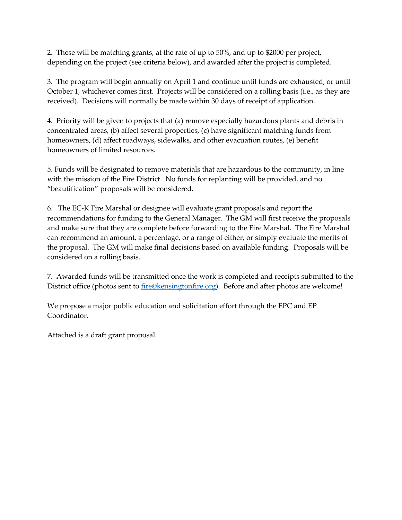2. These will be matching grants, at the rate of up to 50%, and up to \$2000 per project, depending on the project (see criteria below), and awarded after the project is completed.

3. The program will begin annually on April 1 and continue until funds are exhausted, or until October 1, whichever comes first. Projects will be considered on a rolling basis (i.e., as they are received). Decisions will normally be made within 30 days of receipt of application.

4. Priority will be given to projects that (a) remove especially hazardous plants and debris in concentrated areas, (b) affect several properties, (c) have significant matching funds from homeowners, (d) affect roadways, sidewalks, and other evacuation routes, (e) benefit homeowners of limited resources.

5. Funds will be designated to remove materials that are hazardous to the community, in line with the mission of the Fire District. No funds for replanting will be provided, and no "beautification" proposals will be considered.

6. The EC-K Fire Marshal or designee will evaluate grant proposals and report the recommendations for funding to the General Manager. The GM will first receive the proposals and make sure that they are complete before forwarding to the Fire Marshal. The Fire Marshal can recommend an amount, a percentage, or a range of either, or simply evaluate the merits of the proposal. The GM will make final decisions based on available funding. Proposals will be considered on a rolling basis.

7. Awarded funds will be transmitted once the work is completed and receipts submitted to the District office (photos sent to [fire@kensingtonfire.org\)](mailto:fire@kensingtonfire.org). Before and after photos are welcome!

We propose a major public education and solicitation effort through the EPC and EP Coordinator.

Attached is a draft grant proposal.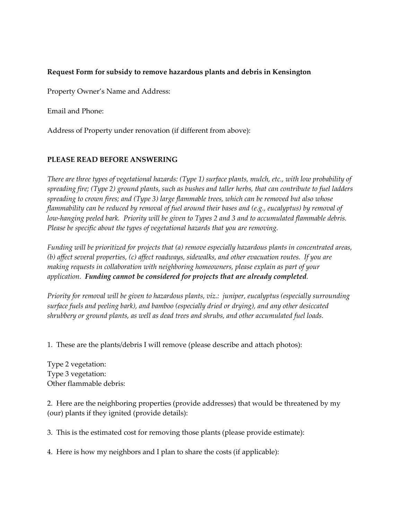## **Request Form for subsidy to remove hazardous plants and debris in Kensington**

Property Owner's Name and Address:

Email and Phone:

Address of Property under renovation (if different from above):

## **PLEASE READ BEFORE ANSWERING**

*There are three types of vegetational hazards: (Type 1) surface plants, mulch, etc., with low probability of spreading fire; (Type 2) ground plants, such as bushes and taller herbs, that can contribute to fuel ladders spreading to crown fires; and (Type 3) large flammable trees, which can be removed but also whose flammability can be reduced by removal of fuel around their bases and (e.g., eucalyptus) by removal of low-hanging peeled bark. Priority will be given to Types 2 and 3 and to accumulated flammable debris. Please be specific about the types of vegetational hazards that you are removing.* 

*Funding will be prioritized for projects that (a) remove especially hazardous plants in concentrated areas, (b) affect several properties, (c) affect roadways, sidewalks, and other evacuation routes. If you are making requests in collaboration with neighboring homeowners, please explain as part of your application. Funding cannot be considered for projects that are already completed.* 

*Priority for removal will be given to hazardous plants, viz.: juniper, eucalyptus (especially surrounding surface fuels and peeling bark), and bamboo (especially dried or drying), and any other desiccated shrubbery or ground plants, as well as dead trees and shrubs, and other accumulated fuel loads.* 

1. These are the plants/debris I will remove (please describe and attach photos):

Type 2 vegetation: Type 3 vegetation: Other flammable debris:

2. Here are the neighboring properties (provide addresses) that would be threatened by my (our) plants if they ignited (provide details):

3. This is the estimated cost for removing those plants (please provide estimate):

4. Here is how my neighbors and I plan to share the costs (if applicable):